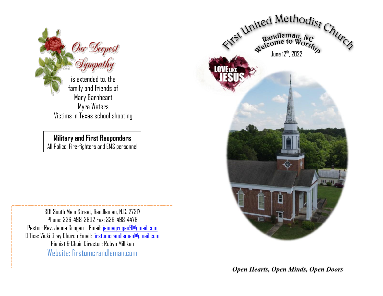

is extended to, the family and friends of Mary Barnheart Myra Waters Victims in Texas school shooting

**Military and First Responders**

All Police, Fire-fighters and EMS personnel

301 South Main Street, Randleman, N.C. 27317 Phone: 336-498-3802 Fax: 336-498-4478 Pastor: Rev. Jenna Grogan Email: [jennagrogan9@gmail.com](mailto:jennagrogan9@gmail.com) Office: Vicki Gray Church Email: [firstumcrandleman@gmail.com](mailto:firstumcrandleman@gmail.com) Pianist & Choir Director: Robyn Millikan Website: firstumcrandleman.com



Open Hearts, Open Minds, Open Doors